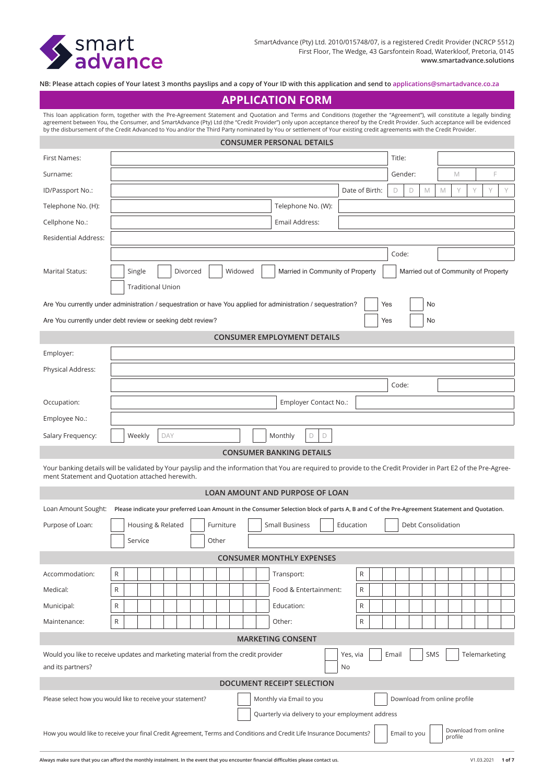

**NB: Please attach copies of Your latest 3 months payslips and a copy of Your ID with this application and send to applications@smartadvance.co.za**

# **APPLICATION FORM**

This loan application form, together with the Pre-Agreement Statement and Quotation and Terms and Conditions (together the "Agreement"), will constitute a legally binding agreement between You, the Consumer, and SmartAdvance (Pty) Ltd (the "Credit Provider") only upon acceptance thereof by the Credit Provider. Such acceptance will be evidenced by the disbursement of the Credit Advanced to You and/or the Third Party nominated by You or settlement of Your existing credit agreements with the Credit Provider.

| <b>CONSUMER PERSONAL DETAILS</b>                                                                                                                                                                                   |                          |          |           |  |                                                                                                                                              |              |       |                    |             |                                      |   |  |
|--------------------------------------------------------------------------------------------------------------------------------------------------------------------------------------------------------------------|--------------------------|----------|-----------|--|----------------------------------------------------------------------------------------------------------------------------------------------|--------------|-------|--------------------|-------------|--------------------------------------|---|--|
| First Names:                                                                                                                                                                                                       | Title:                   |          |           |  |                                                                                                                                              |              |       |                    |             |                                      |   |  |
| Surname:                                                                                                                                                                                                           |                          |          |           |  |                                                                                                                                              |              |       | Gender:            | M           |                                      | F |  |
| ID/Passport No.:                                                                                                                                                                                                   | Date of Birth:           |          |           |  |                                                                                                                                              |              |       | M                  | $\mathbb M$ |                                      | Y |  |
| Telephone No. (H):                                                                                                                                                                                                 |                          |          |           |  | Telephone No. (W):                                                                                                                           |              |       |                    |             |                                      |   |  |
| Cellphone No.:                                                                                                                                                                                                     |                          |          |           |  | Email Address:                                                                                                                               |              |       |                    |             |                                      |   |  |
| <b>Residential Address:</b>                                                                                                                                                                                        |                          |          |           |  |                                                                                                                                              |              |       |                    |             |                                      |   |  |
|                                                                                                                                                                                                                    |                          |          |           |  |                                                                                                                                              |              | Code: |                    |             |                                      |   |  |
| <b>Marital Status:</b>                                                                                                                                                                                             | Single                   | Divorced | Widowed   |  | Married in Community of Property                                                                                                             |              |       |                    |             | Married out of Community of Property |   |  |
|                                                                                                                                                                                                                    | <b>Traditional Union</b> |          |           |  |                                                                                                                                              |              |       |                    |             |                                      |   |  |
| Are You currently under administration / sequestration or have You applied for administration / sequestration?                                                                                                     |                          |          |           |  |                                                                                                                                              |              | Yes   | No                 |             |                                      |   |  |
| Are You currently under debt review or seeking debt review?                                                                                                                                                        |                          |          |           |  |                                                                                                                                              |              | Yes   | No                 |             |                                      |   |  |
|                                                                                                                                                                                                                    |                          |          |           |  | <b>CONSUMER EMPLOYMENT DETAILS</b>                                                                                                           |              |       |                    |             |                                      |   |  |
| Employer:                                                                                                                                                                                                          |                          |          |           |  |                                                                                                                                              |              |       |                    |             |                                      |   |  |
| Physical Address:                                                                                                                                                                                                  |                          |          |           |  |                                                                                                                                              |              |       |                    |             |                                      |   |  |
|                                                                                                                                                                                                                    |                          |          |           |  |                                                                                                                                              |              | Code: |                    |             |                                      |   |  |
| Occupation:                                                                                                                                                                                                        |                          |          |           |  | Employer Contact No.:                                                                                                                        |              |       |                    |             |                                      |   |  |
| Employee No.:                                                                                                                                                                                                      |                          |          |           |  |                                                                                                                                              |              |       |                    |             |                                      |   |  |
| Salary Frequency:                                                                                                                                                                                                  | Weekly                   | DAY      |           |  | Monthly<br>D<br>D                                                                                                                            |              |       |                    |             |                                      |   |  |
|                                                                                                                                                                                                                    |                          |          |           |  | <b>CONSUMER BANKING DETAILS</b>                                                                                                              |              |       |                    |             |                                      |   |  |
| Your banking details will be validated by Your payslip and the information that You are required to provide to the Credit Provider in Part E2 of the Pre-Agree-<br>ment Statement and Quotation attached herewith. |                          |          |           |  |                                                                                                                                              |              |       |                    |             |                                      |   |  |
|                                                                                                                                                                                                                    |                          |          |           |  | LOAN AMOUNT AND PURPOSE OF LOAN                                                                                                              |              |       |                    |             |                                      |   |  |
| Loan Amount Sought:                                                                                                                                                                                                |                          |          |           |  | Please indicate your preferred Loan Amount in the Consumer Selection block of parts A, B and C of the Pre-Agreement Statement and Quotation. |              |       |                    |             |                                      |   |  |
| Purpose of Loan:                                                                                                                                                                                                   | Housing & Related        |          | Furniture |  | <b>Small Business</b>                                                                                                                        | Education    |       | Debt Consolidation |             |                                      |   |  |
|                                                                                                                                                                                                                    | Service                  |          | Other     |  |                                                                                                                                              |              |       |                    |             |                                      |   |  |
|                                                                                                                                                                                                                    |                          |          |           |  | <b>CONSUMER MONTHLY EXPENSES</b>                                                                                                             |              |       |                    |             |                                      |   |  |
| Accommodation:                                                                                                                                                                                                     | R                        |          |           |  | Transport:                                                                                                                                   | R            |       |                    |             |                                      |   |  |
| Medical:                                                                                                                                                                                                           | R                        |          |           |  | Food & Entertainment:                                                                                                                        | R            |       |                    |             |                                      |   |  |
| Municipal:                                                                                                                                                                                                         | ${\sf R}$                |          |           |  | Education:                                                                                                                                   | R            |       |                    |             |                                      |   |  |
| Maintenance:                                                                                                                                                                                                       | R                        |          |           |  | Other:                                                                                                                                       | $\mathsf{R}$ |       |                    |             |                                      |   |  |
| <b>MARKETING CONSENT</b>                                                                                                                                                                                           |                          |          |           |  |                                                                                                                                              |              |       |                    |             |                                      |   |  |
| Would you like to receive updates and marketing material from the credit provider<br>SMS<br>Telemarketing<br>Yes, via<br>Email<br>and its partners?<br>No                                                          |                          |          |           |  |                                                                                                                                              |              |       |                    |             |                                      |   |  |
| DOCUMENT RECEIPT SELECTION                                                                                                                                                                                         |                          |          |           |  |                                                                                                                                              |              |       |                    |             |                                      |   |  |
| Download from online profile<br>Please select how you would like to receive your statement?<br>Monthly via Email to you<br>Quarterly via delivery to your employment address                                       |                          |          |           |  |                                                                                                                                              |              |       |                    |             |                                      |   |  |
| Download from online<br>Email to you<br>How you would like to receive your final Credit Agreement, Terms and Conditions and Credit Life Insurance Documents?<br>profile                                            |                          |          |           |  |                                                                                                                                              |              |       |                    |             |                                      |   |  |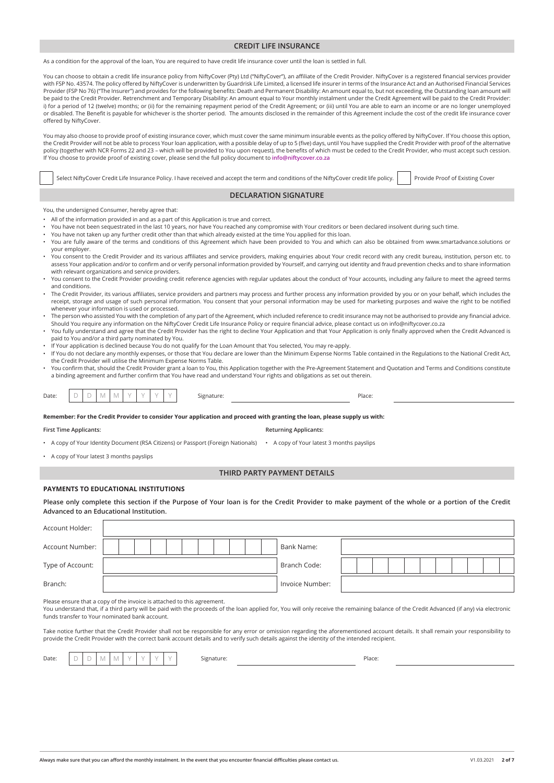# **CREDIT LIFE INSURANCE**

As a condition for the approval of the loan, You are required to have credit life insurance cover until the loan is settled in full.

You can choose to obtain a credit life insurance policy from NiftyCover (Pty) Ltd ("NiftyCover"), an affiliate of the Credit Provider. NiftyCover is a registered financial services provider with FSP No. 43574. The policy offered by NiftyCover is underwritten by Guardrisk Life Limited, a licensed life insurer in terms of the Insurance Act and an Authorised Financial Services Provider (FSP No 76) ("The Insurer") and provides for the following benefits: Death and Permanent Disability: An amount equal to, but not exceeding, the Outstanding loan amount will be paid to the Credit Provider. Retrenchment and Temporary Disability: An amount equal to Your monthly instalment under the Credit Agreement will be paid to the Credit Provider: i) for a period of 12 (twelve) months; or (ii) for the remaining repayment period of the Credit Agreement; or (iii) until You are able to earn an income or are no longer unemployed or disabled. The Benefit is payable for whichever is the shorter period. The amounts disclosed in the remainder of this Agreement include the cost of the credit life insurance cover offered by NiftyCover.

You may also choose to provide proof of existing insurance cover, which must cover the same minimum insurable events as the policy offered by NiftyCover. If You choose this option, the Credit Provider will not be able to process Your loan application, with a possible delay of up to 5 (five) days, until You have supplied the Credit Provider with proof of the alternative policy (together with NCR Forms 22 and 23 – which will be provided to You upon request), the benefits of which must be ceded to the Credit Provider, who must accept such cession. If You choose to provide proof of existing cover, please send the full policy document to **info@niftycover.co.za**

| Select NiftyCover Credit Life Insurance Policy. I have received and accept the term and conditions of the NiftyCover credit life policy.                                                                                                                                                                                                                                                                                                                                                                                                                                                                                              | Provide Proof of Existing Cover |
|---------------------------------------------------------------------------------------------------------------------------------------------------------------------------------------------------------------------------------------------------------------------------------------------------------------------------------------------------------------------------------------------------------------------------------------------------------------------------------------------------------------------------------------------------------------------------------------------------------------------------------------|---------------------------------|
| <b>DECLARATION SIGNATURE</b>                                                                                                                                                                                                                                                                                                                                                                                                                                                                                                                                                                                                          |                                 |
| You, the undersigned Consumer, hereby agree that:<br>. All of the information provided in and as a part of this Application is true and correct.<br>. You have not been sequestrated in the last 10 years, nor have You reached any compromise with Your creditors or been declared insolvent during such time.<br>. You have not taken up any further credit other than that which already existed at the time You applied for this loan.<br>. You are fully aware of the terms and conditions of this Agreement which have been provided to You and which can also be obtained from www.smartadvance.solutions or<br>your employer. |                                 |

- You consent to the Credit Provider and its various affiliates and service providers, making enquiries about Your credit record with any credit bureau, institution, person etc. to assess Your application and/or to confirm and or verify personal information provided by Yourself, and carrying out identity and fraud prevention checks and to share information with relevant organizations and service providers.
- You consent to the Credit Provider providing credit reference agencies with regular updates about the conduct of Your accounts, including any failure to meet the agreed terms and conditions.
- The Credit Provider, its various affiliates, service providers and partners may process and further process any information provided by you or on your behalf, which includes the receipt, storage and usage of such personal information. You consent that your personal information may be used for marketing purposes and waive the right to be notified whenever your information is used or processed.
- The person who assisted You with the completion of any part of the Agreement, which included reference to credit insurance may not be authorised to provide any financial advice. Should You require any information on the NiftyCover Credit Life Insurance Policy or require financial advice, please contact us on info@niftycover.co.za
- You fully understand and agree that the Credit Provider has the right to decline Your Application and that Your Application is only finally approved when the Credit Advanced is paid to You and/or a third party nominated by You.
- If Your application is declined because You do not qualify for the Loan Amount that You selected, You may re-apply.
- If You do not declare any monthly expenses, or those that You declare are lower than the Minimum Expense Norms Table contained in the Regulations to the National Credit Act, the Credit Provider will utilise the Minimum Expense Norms Table.
- You confirm that, should the Credit Provider grant a loan to You, this Application together with the Pre-Agreement Statement and Quotation and Terms and Conditions constitute a binding agreement and further confirm that You have read and understand Your rights and obligations as set out therein.

| <b>STATE</b><br>$\sim$ | $\sim$<br>$\sim$ | 1 N.A<br>$\cdots$ | $\cdots$ |  |  | - -<br>101 | ה ורי<br>-120 |
|------------------------|------------------|-------------------|----------|--|--|------------|---------------|
|                        |                  |                   |          |  |  |            |               |

**Remember: For the Credit Provider to consider Your application and proceed with granting the loan, please supply us with:**

**First Time Applicants: Returning Applicants:**

- A copy of Your Identity Document (RSA Citizens) or Passport (Foreign Nationals) A copy of Your latest 3 months payslips
- A copy of Your latest 3 months payslips

# **THIRD PARTY PAYMENT DETAILS**

# **PAYMENTS TO EDUCATIONAL INSTITUTIONS**

Please only complete this section if the Purpose of Your loan is for the Credit Provider to make payment of the whole or a portion of the Credit **Advanced to an Educational Institution.**

| Account Holder:                                                         |  |                 |  |  |  |  |
|-------------------------------------------------------------------------|--|-----------------|--|--|--|--|
| Account Number:                                                         |  | Bank Name:      |  |  |  |  |
| Type of Account:                                                        |  | Branch Code:    |  |  |  |  |
| Branch:                                                                 |  | Invoice Number: |  |  |  |  |
| Please ensure that a copy of the invoice is attached to this agreement. |  |                 |  |  |  |  |

You understand that, if a third party will be paid with the proceeds of the loan applied for, You will only receive the remaining balance of the Credit Advanced (if any) via electronic funds transfer to Your nominated bank account.

Take notice further that the Credit Provider shall not be responsible for any error or omission regarding the aforementioned account details. It shall remain your responsibility to provide the Credit Provider with the correct bank account details and to verify such details against the identity of the intended recipient.

| I | × | ×<br>. . | × |
|---|---|----------|---|

Date: D D M M Y Y Y Y Signature: Place: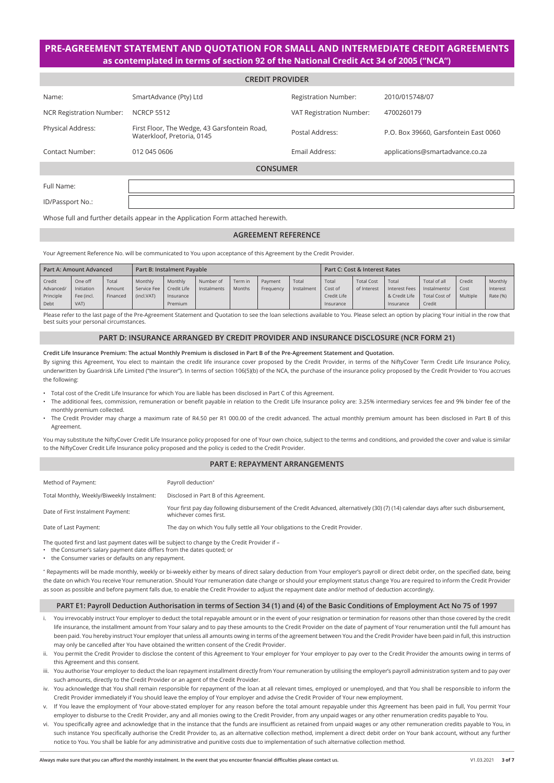# **PRE-AGREEMENT STATEMENT AND QUOTATION FOR SMALL AND INTERMEDIATE CREDIT AGREEMENTS as contemplated in terms of section 92 of the National Credit Act 34 of 2005 ("NCA")**

| <b>CREDIT PROVIDER</b>          |                                                                            |                             |                                       |  |  |  |  |
|---------------------------------|----------------------------------------------------------------------------|-----------------------------|---------------------------------------|--|--|--|--|
| Name:                           | SmartAdvance (Pty) Ltd                                                     | <b>Registration Number:</b> | 2010/015748/07                        |  |  |  |  |
| <b>NCR Registration Number:</b> | <b>NCRCP 5512</b>                                                          | VAT Registration Number:    | 4700260179                            |  |  |  |  |
| <b>Physical Address:</b>        | First Floor, The Wedge, 43 Garsfontein Road,<br>Waterkloof, Pretoria, 0145 | Postal Address:             | P.O. Box 39660, Garsfontein East 0060 |  |  |  |  |
| Contact Number:                 | 012 045 0606                                                               | Email Address:              | applications@smartadvance.co.za       |  |  |  |  |
| <b>CONSUMER</b>                 |                                                                            |                             |                                       |  |  |  |  |
| Full Name:                      |                                                                            |                             |                                       |  |  |  |  |
| ID/Passport No.:                |                                                                            |                             |                                       |  |  |  |  |

Whose full and further details appear in the Application Form attached herewith.

# **AGREEMENT REFERENCE**

Your Agreement Reference No. will be communicated to You upon acceptance of this Agreement by the Credit Provider.

|           | <b>Part A: Amount Advanced</b> |          | <b>Part B: Instalment Pavable</b> |             |             |         |           |            | Part C: Cost & Interest Rates |                   |               |                      |          |          |
|-----------|--------------------------------|----------|-----------------------------------|-------------|-------------|---------|-----------|------------|-------------------------------|-------------------|---------------|----------------------|----------|----------|
| Credit    | One off                        | Total    | Monthly                           | Monthly     | Number of   | Term in | Payment   | Total      | Total                         | <b>Total Cost</b> | Total         | Total of all         | Credit   | Monthly  |
| Advanced/ | Initiation                     | Amount   | Service Fee                       | Credit Life | Instalments | Months  | Frequency | Instalment | Cost of                       | of Interest       | Interest Fees | Instalments/         | Cost     | Interest |
| Principle | Fee (incl.                     | Financed | (incl.VAT)                        | Insurance   |             |         |           |            | Credit Life                   |                   | & Credit Life | <b>Total Cost of</b> | Multiple | Rate (%) |
| Debt      | VAT)                           |          |                                   | Premium     |             |         |           |            | Insurance                     |                   | Insurance     | Credit               |          |          |

Please refer to the last page of the Pre-Agreement Statement and Quotation to see the loan selections available to You. Please select an option by placing Your initial in the row that best suits your personal circumstances.

# **PART D: INSURANCE ARRANGED BY CREDIT PROVIDER AND INSURANCE DISCLOSURE (NCR FORM 21)**

**Credit Life Insurance Premium: The actual Monthly Premium is disclosed in Part B of the Pre-Agreement Statement and Quotation.**

By signing this Agreement, You elect to maintain the credit life insurance cover proposed by the Credit Provider, in terms of the NiftyCover Term Credit Life Insurance Policy, underwritten by Guardrisk Life Limited ("the Insurer"). In terms of section 106(5)(b) of the NCA, the purchase of the insurance policy proposed by the Credit Provider to You accrues the following:

- Total cost of the Credit Life Insurance for which You are liable has been disclosed in Part C of this Agreement.
- The additional fees, commission, remuneration or benefit payable in relation to the Credit Life Insurance policy are: 3.25% intermediary services fee and 9% binder fee of the monthly premium collected.
- The Credit Provider may charge a maximum rate of R4.50 per R1 000.00 of the credit advanced. The actual monthly premium amount has been disclosed in Part B of this Agreement.

You may substitute the NiftyCover Credit Life Insurance policy proposed for one of Your own choice, subject to the terms and conditions, and provided the cover and value is similar to the NiftyCover Credit Life Insurance policy proposed and the policy is ceded to the Credit Provider.

# **PART E: REPAYMENT ARRANGEMENTS**

| Method of Payment:                         | Payroll deduction*                                                                                                                                             |
|--------------------------------------------|----------------------------------------------------------------------------------------------------------------------------------------------------------------|
| Total Monthly, Weekly/Biweekly Instalment: | Disclosed in Part B of this Agreement.                                                                                                                         |
| Date of First Instalment Payment:          | Your first pay day following disbursement of the Credit Advanced, alternatively (30) (7) (14) calendar days after such disbursement,<br>whichever comes first. |
| Date of Last Payment:                      | The day on which You fully settle all Your obligations to the Credit Provider.                                                                                 |
|                                            |                                                                                                                                                                |

The quoted first and last payment dates will be subject to change by the Credit Provider if –

- the Consumer's salary payment date differs from the dates quoted; or
- the Consumer varies or defaults on any repayment.

\* Repayments will be made monthly, weekly or bi-weekly either by means of direct salary deduction from Your employer's payroll or direct debit order, on the specified date, being the date on which You receive Your remuneration. Should Your remuneration date change or should your employment status change You are required to inform the Credit Provider as soon as possible and before payment falls due, to enable the Credit Provider to adjust the repayment date and/or method of deduction accordingly.

## **PART E1: Payroll Deduction Authorisation in terms of Section 34 (1) and (4) of the Basic Conditions of Employment Act No 75 of 1997**

- i. You irrevocably instruct Your employer to deduct the total repayable amount or in the event of your resignation or termination for reasons other than those covered by the credit life insurance, the installment amount from Your salary and to pay these amounts to the Credit Provider on the date of payment of Your renumeration until the full amount has been paid. You hereby instruct Your employer that unless all amounts owing in terms of the agreement between You and the Credit Provider have been paid in full, this instruction may only be cancelled after You have obtained the written consent of the Credit Provider.
- You permit the Credit Provider to disclose the content of this Agreement to Your employer for Your employer to pay over to the Credit Provider the amounts owing in terms of this Agreement and this consent.
- iii. You authorise Your employer to deduct the loan repayment installment directly from Your remuneration by utilising the employer's payroll administration system and to pay over such amounts, directly to the Credit Provider or an agent of the Credit Provider.
- iv. You acknowledge that You shall remain responsible for repayment of the loan at all relevant times, employed or unemployed, and that You shall be responsible to inform the Credit Provider immediately if You should leave the employ of Your employer and advise the Credit Provider of Your new employment.
- v. If You leave the employment of Your above-stated employer for any reason before the total amount repayable under this Agreement has been paid in full, You permit Your employer to disburse to the Credit Provider, any and all monies owing to the Credit Provider, from any unpaid wages or any other renumeration credits payable to You.
- vi. You specifically agree and acknowledge that in the instance that the funds are insufficient as retained from unpaid wages or any other remuneration credits payable to You, in such instance You specifically authorise the Credit Provider to, as an alternative collection method, implement a direct debit order on Your bank account, without any further notice to You. You shall be liable for any administrative and punitive costs due to implementation of such alternative collection method.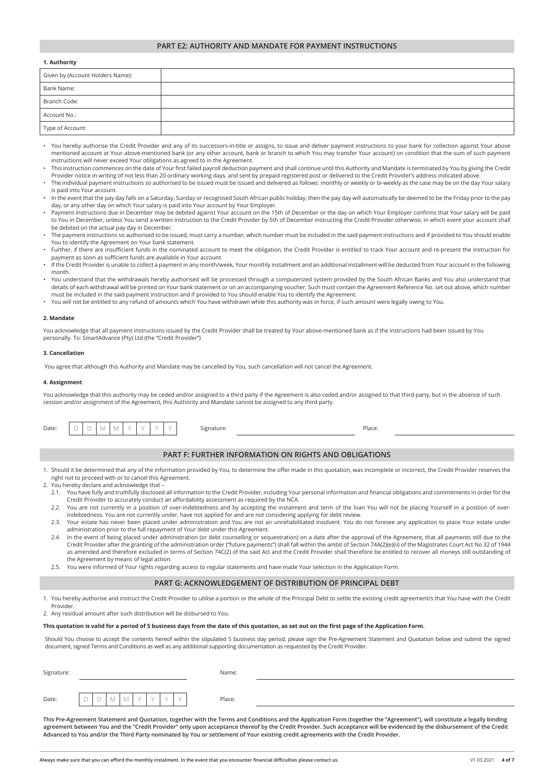# **PART E2: AUTHORITY AND MANDATE FOR PAYMENT INSTRUCTIONS**

#### **1. Authority**

| Given by (Account Holders Name): |  |
|----------------------------------|--|
| Bank Name:                       |  |
| Branch Code:                     |  |
| Account No.:                     |  |
| Type of Account:                 |  |

- You hereby authorise the Credit Provider and any of its successors-in-title or assigns, to issue and deliver payment instructions to your bank for collection against Your above mentioned account at Your above-mentioned bank (or any other account, bank or branch to which You may transfer Your account) on condition that the sum of such payment instructions will never exceed Your obligations as agreed to in the Agreement.
- This instruction commences on the date of Your first failed payroll deduction payment and shall continue until this Authority and Mandate is terminated by You by giving the Credit Provider notice in writing of not less than 20 ordinary working days, and sent by prepaid registered post or delivered to the Credit Provider's address indicated above
- The individual payment instructions so authorised to be issued must be issued and delivered as follows: monthly or weekly or bi-weekly as the case may be on the day Your salary is paid into Your account.
- In the event that the pay day falls on a Saturday, Sunday or recognised South African public holiday, then the pay day will automatically be deemed to be the Friday prior to the pay day, or any other day on which Your salary is paid into Your account by Your Employer.
- Payment instructions due in December may be debited against Your account on the 15th of December or the day on which Your Employer confirms that Your salary will be paid to You in December, unless You send a written instruction to the Credit Provider by 5th of December instructing the Credit Provider otherwise, in which event your account shall be debited on the actual pay day in December.
- The payment instructions so authorised to be issued, must carry a number, which number must be included in the said payment instructions and if provided to You should enable You to identify the Agreement on Your bank statement.
- Further, if there are insufficient funds in the nominated account to meet the obligation, the Credit Provider is entitled to track Your account and re-present the instruction for payment as soon as sufficient funds are available in Your account.
- If the Credit Provider is unable to collect a payment in any month/week, Your monthly installment and an additional installment will be deducted from Your account in the following month.
- You understand that the withdrawals hereby authorised will be processed through a computerized system provided by the South African Banks and You also understand that details of each withdrawal will be printed on Your bank statement or on an accompanying voucher. Such must contain the Agreement Reference No. set out above, which number must be included in the said payment instruction and if provided to You should enable You to identify the Agreement.
- You will not be entitled to any refund of amounts which You have withdrawn while this authority was in force, if such amount were legally owing to You.

#### **2. Mandate**

You acknowledge that all payment instructions issued by the Credit Provider shall be treated by Your above-mentioned bank as if the instructions had been issued by You personally. To: SmartAdvance (Pty) Ltd (the "Credit Provider")

#### **3. Cancellation**

You agree that although this Authority and Mandate may be cancelled by You, such cancellation will not cancel the Agreement.

#### **4. Assignment**

You acknowledge that this authority may be ceded and/or assigned to a third party if the Agreement is also ceded and/or assigned to that third party, but in the absence of such cession and/or assignment of the Agreement, this Authority and Mandate cannot be assigned to any third party.

| Date: | $\vee$<br>$\vee$                                                                                                                                                                                                                                                                                | Signature: |  | Place: |  |  |  |  |
|-------|-------------------------------------------------------------------------------------------------------------------------------------------------------------------------------------------------------------------------------------------------------------------------------------------------|------------|--|--------|--|--|--|--|
|       |                                                                                                                                                                                                                                                                                                 |            |  |        |  |  |  |  |
|       | <b>PART F: FURTHER INFORMATION ON RIGHTS AND OBLIGATIONS</b>                                                                                                                                                                                                                                    |            |  |        |  |  |  |  |
|       | 1. Should it be determined that any of the information provided by You, to determine the offer made in this quotation, was incomplete or incorrect, the Credit Provider reserves the<br>right not to proceed with or to cancel this Agreement.                                                  |            |  |        |  |  |  |  |
|       | 2. You hereby declare and acknowledge that -                                                                                                                                                                                                                                                    |            |  |        |  |  |  |  |
|       | 2.1. You have fully and truthfully disclosed all information to the Credit Provider, including Your personal information and financial obligations and commitments in order for the<br>Credit Provider to accurately conduct an affordability assessment as required by the NCA.                |            |  |        |  |  |  |  |
|       | 2.2. You are not currently in a position of over-indebtedness and by accepting the instalment and term of the loan You will not be placing Yourself in a position of over-<br>indebtedness. You are not currently under, have not applied for and are not considering applying for debt review. |            |  |        |  |  |  |  |

- 2.3. Your estate has never been placed under administration and You are not an unrehabilitated insolvent. You do not foresee any application to place Your estate under administration prior to the full repayment of Your debt under this Agreement.
- 2.4. In the event of being placed under administration (or debt counselling or sequestration) on a date after the approval of the Agreement, that all payments still due to the Credit Provider after the granting of the administration order ("future payments") shall fall within the ambit of Section 74A(2)(e)(ii) of the Magistrates Court Act No 32 of 1944 as amended and therefore excluded in terms of Section 74C(2) of the said Act and the Credit Provider shall therefore be entitled to recover all moneys still outstanding of the Agreement by means of legal action.
- 2.5. You were informed of Your rights regarding access to regular statements and have made Your selection in the Application Form.

#### **PART G: ACKNOWLEDGEMENT OF DISTRIBUTION OF PRINCIPAL DEBT**

1. You hereby authorise and instruct the Credit Provider to utilise a portion or the whole of the Principal Debt to settle the existing credit agreement/s that You have with the Credit Provider.

2. Any residual amount after such distribution will be disbursed to You.

## **This quotation is valid for a period of 5 business days from the date of this quotation, as set out on the first page of the Application Form.**

Should You choose to accept the contents hereof within the stipulated 5 business day period, please sign the Pre-Agreement Statement and Quotation below and submit the signed document, signed Terms and Conditions as well as any additional supporting documentation as requested by the Credit Provider.

| Signature: |                                                                                                                       | Name:  |  |
|------------|-----------------------------------------------------------------------------------------------------------------------|--------|--|
| Date:      | $\sim$ $-$<br>$\sim$<br>$\lambda$<br>$\sim$ $\sim$<br><b>STATE</b><br><b>STATE</b><br>M<br>$\lambda$<br>IVI<br>∼<br>◡ | Place: |  |

**This Pre-Agreement Statement and Quotation, together with the Terms and Conditions and the Application Form (together the "Agreement"), will constitute a legally binding agreement between You and the "Credit Provider" only upon acceptance thereof by the Credit Provider. Such acceptance will be evidenced by the disbursement of the Credit Advanced to You and/or the Third Party nominated by You or settlement of Your existing credit agreements with the Credit Provider.**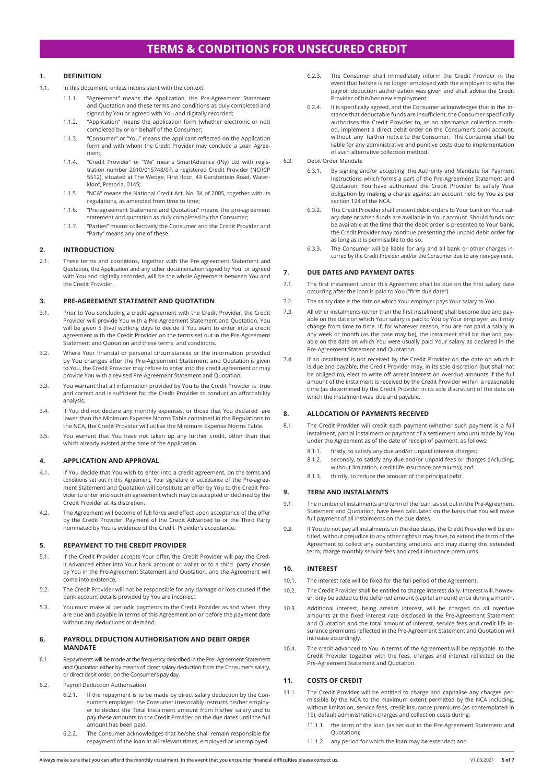# **TERMS & CONDITIONS FOR UNSECURED CREDIT**

# **1. DEFINITION**

- 1.1. In this document, unless inconsistent with the context:
	- "Agreement" means the Application, the Pre-Agreement Statement and Quotation and these terms and conditions as duly completed and signed by You or agreed with You and digitally recorded;
	- 1.1.2. "Application" means the application form (whether electronic or not) completed by or on behalf of the Consumer;
	- 1.1.3. "Consumer" or "You" means the applicant reflected on the Application form and with whom the Credit Provider may conclude a Loan Agreement;
	- 1.1.4. "Credit Provider" or "We" means SmartAdvance (Pty) Ltd with registration number 2010/015748/07, a registered Credit Provider (NCRCP 5512), situated at The Wedge, First floor, 43 Garsfontein Road, Waterkloof, Pretoria, 0145;
	- 1.1.5. "NCA" means the National Credit Act, No. 34 of 2005, together with its regulations, as amended from time to time:
	- 1.1.6. "Pre-agreement Statement and Quotation" means the pre-agreement statement and quotation as duly completed by the Consumer;
	- 1.1.7. "Parties" means collectively the Consumer and the Credit Provider and "Party" means any one of these.

# **2. INTRODUCTION**

2.1. These terms and conditions, together with the Pre-agreement Statement and Quotation, the Application and any other documentation signed by You or agreed with You and digitally recorded, will be the whole Agreement between You and the Credit Provider.

# **3. PRE-AGREEMENT STATEMENT AND QUOTATION**

- 3.1. Prior to You concluding a credit agreement with the Credit Provider, the Credit Provider will provide You with a Pre-Agreement Statement and Quotation. You will be given 5 (five) working days to decide if You want to enter into a credit agreement with the Credit Provider on the terms set out in the Pre-Agreement Statement and Quotation and these terms and conditions.
- 3.2. Where Your financial or personal circumstances or the information provided by You changes after the Pre-Agreement Statement and Quotation is given to You, the Credit Provider may refuse to enter into the credit agreement or may provide You with a revised Pre-Agreement Statement and Quotation.
- 3.3. You warrant that all information provided by You to the Credit Provider is true and correct and is sufficient for the Credit Provider to conduct an affordability analysis.
- 3.4. If You did not declare any monthly expenses, or those that You declared are lower than the Minimum Expense Norms Table contained in the Regulations to the NCA, the Credit Provider will utilise the Minimum Expense Norms Table.
- 3.5. You warrant that You have not taken up any further credit, other than that which already existed at the time of the Application.

#### **4. APPLICATION AND APPROVAL**

- 4.1. If You decide that You wish to enter into a credit agreement, on the terms and conditions set out in this Agreement, Your signature or acceptance of the Pre-agreement Statement and Quotation will constitute an offer by You to the Credit Provider to enter into such an agreement which may be accepted or declined by the Credit Provider at its discretion.
- 4.2. The Agreement will become of full force and effect upon acceptance of the offer by the Credit Provider. Payment of the Credit Advanced to or the Third Party nominated by You is evidence of the Credit Provider's acceptance.

# **5. REPAYMENT TO THE CREDIT PROVIDER**

- 5.1. If the Credit Provider accepts Your offer, the Credit Provider will pay the Credit Advanced either into Your bank account or wallet or to a third party chosen by You in the Pre-Agreement Statement and Quotation, and the Agreement will come into existence.
- 5.2. The Credit Provider will not be responsible for any damage or loss caused if the bank account details provided by You are incorrect.
- 5.3. You must make all periodic payments to the Credit Provider as and when they are due and payable in terms of this Agreement on or before the payment date without any deductions or demand.

## **6. PAYROLL DEDUCTION AUTHORISATION AND DEBIT ORDER MANDATE**

- 6.1. Repayments will be made at the frequency described in the Pre- Agreement Statement and Quotation either by means of direct salary deduction from the Consumer's salary, or direct debit order, on the Consumer's pay day.
- 6.2. Payroll Deduction Authorisation
	- 6.2.1. If the repayment is to be made by direct salary deduction by the Consumer's employer, the Consumer irrevocably instructs his/her employer to deduct the Total Instalment amount from his/her salary and to pay these amounts to the Credit Provider on the due dates until the full amount has been paid.
	- 6.2.2. The Consumer acknowledges that he/she shall remain responsible for repayment of the loan at all relevant times, employed or unemployed.
- 6.2.3. The Consumer shall immediately inform the Credit Provider in the event that he/she is no longer employed with the employer to who the payroll deduction authorization was given and shall advise the Credit Provider of his/her new employment.
- 6.2.4. It is specifically agreed, and the Consumer acknowledges that in the instance that deductable funds are insufficient, the Consumer specifically authorises the Credit Provider to, as an alternative collection method, implement a direct debit order on the Consumer's bank account, without any further notice to the Consumer. The Consumer shall be liable for any administrative and punitive costs due to implementation of such alternative collection method.
- 6.3. Debit Order Mandate
	- 6.3.1. By signing and/or accepting ,the Authority and Mandate for Payment Instructions which forms a part of the Pre-Agreement Statement and Quotation, You have authorised the Credit Provider to satisfy Your obligation by making a charge against an account held by You as per section 124 of the NCA.
	- 6.3.2. The Credit Provider shall present debit orders to Your bank on Your salary date or when funds are available in Your account. Should funds not be available at the time that the debit order is presented to Your bank, the Credit Provider may continue presenting the unpaid debit order for as long as it is permissible to do so.
	- 6.3.3. The Consumer will be liable for any and all bank or other charges incurred by the Credit Provider and/or the Consumer due to any non-payment.

# **7. DUE DATES AND PAYMENT DATES**

- 7.1. The first instalment under this Agreement shall be due on the first salary date occurring after the loan is paid to You ("first due date").
- 7.2. The salary date is the date on which Your employer pays Your salary to You.
- 7.3. All other instalments (other than the first instalment) shall become due and payable on the date on which Your salary is paid to You by Your employer, as it may change from time to time. If, for whatever reason, You are not paid a salary in any week or month (as the case may be), the instalment shall be due and payable on the date on which You were usually paid Your salary as declared in the Pre-Agreement Statement and Quotation.
- 7.4. If an instalment is not received by the Credit Provider on the date on which it is due and payable, the Credit Provider may, in its sole discretion (but shall not be obliged to), elect to write off arrear interest on overdue amounts if the full amount of the instalment is received by the Credit Provider within a reasonable time (as determined by the Credit Provider in its sole discretion) of the date on which the instalment was due and payable.

# **8. ALLOCATION OF PAYMENTS RECEIVED**

- 8.1. The Credit Provider will credit each payment (whether such payment is a full instalment, partial instalment or payment of a settlement amount) made by You under the Agreement as of the date of receipt of payment, as follows:
	- 8.1.1. firstly, to satisfy any due and/or unpaid interest charges;
	- 8.1.2. secondly, to satisfy any due and/or unpaid fees or charges (including, without limitation, credit life insurance premiums); and
	- 8.1.3. thirdly, to reduce the amount of the principal debt.

# **9. TERM AND INSTALMENTS**

- 9.1. The number of instalments and term of the loan, as set out in the Pre-Agreement Statement and Quotation, have been calculated on the basis that You will make full payment of all instalments on the due dates.
- 9.2. If You do not pay all instalments on the due dates, the Credit Provider will be entitled, without prejudice to any other rights it may have, to extend the term of the Agreement to collect any outstanding amounts and may during this extended term, charge monthly service fees and credit insurance premiums.

# **10. INTEREST**

- 10.1. The interest rate will be fixed for the full period of the Agreement.
- 10.2. The Credit Provider shall be entitled to charge interest daily. Interest will, however, only be added to the deferred amount (capital amount) once during a month.
- 10.3. Additional interest, being arrears interest, will be charged on all overdue amounts at the fixed interest rate disclosed in the Pre-Agreement Statement and Quotation and the total amount of interest, service fees and credit life insurance premiums reflected in the Pre-Agreement Statement and Quotation will increase accordingly.
- 10.4. The credit advanced to You in terms of the Agreement will be repayable to the Credit Provider together with the fees, charges and interest reflected on the Pre-Agreement Statement and Quotation.

# **11. COSTS OF CREDIT**

- 11.1. The Credit Provider will be entitled to charge and capitalise any charges permissible by the NCA to the maximum extent permitted by the NCA including, without limitation, service fees, credit insurance premiums (as contemplated in 15), default administration charges and collection costs during:
	- the term of the loan (as set out in the Pre-Agreement Statement and Quotation);
	- 11.1.2. any period for which the loan may be extended; and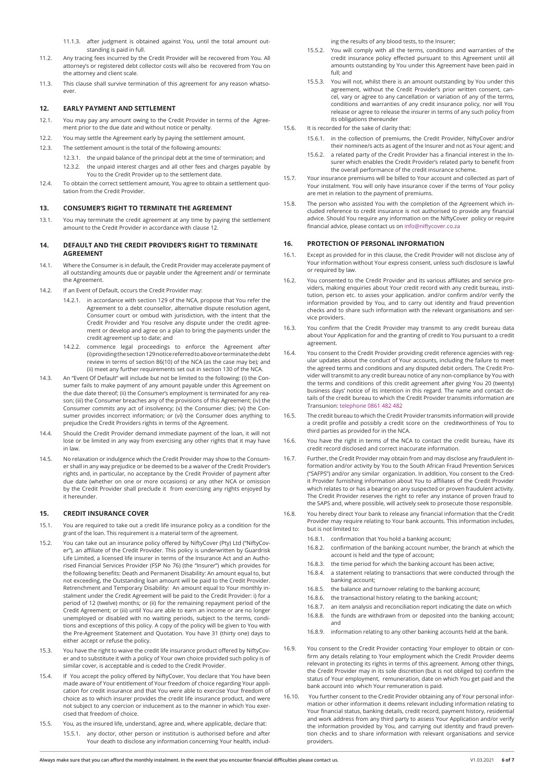- 11.2. Any tracing fees incurred by the Credit Provider will be recovered from You. All attorney's or registered debt collector costs will also be recovered from You on the attorney and client scale.
- 11.3. This clause shall survive termination of this agreement for any reason whatsoever

# **12. EARLY PAYMENT AND SETTLEMENT**

- 12.1. You may pay any amount owing to the Credit Provider in terms of the Agreement prior to the due date and without notice or penalty.
- 12.2. You may settle the Agreement early by paying the settlement amount.
- 12.3. The settlement amount is the total of the following amounts:
	- 12.3.1. the unpaid balance of the principal debt at the time of termination; and 12.3.2. the unpaid interest charges and all other fees and charges payable by You to the Credit Provider up to the settlement date.
- 12.4. To obtain the correct settlement amount, You agree to obtain a settlement quotation from the Credit Provider.

## **13. CONSUMER'S RIGHT TO TERMINATE THE AGREEMENT**

13.1. You may terminate the credit agreement at any time by paying the settlement amount to the Credit Provider in accordance with clause 12.

## **14. DEFAULT AND THE CREDIT PROVIDER'S RIGHT TO TERMINATE AGREEMENT**

- 14.1. Where the Consumer is in default, the Credit Provider may accelerate payment of all outstanding amounts due or payable under the Agreement and/ or terminate the Agreement.
- 14.2. If an Event of Default, occurs the Credit Provider may:
	- 14.2.1. in accordance with section 129 of the NCA, propose that You refer the Agreement to a debt counsellor, alternative dispute resolution agent, Consumer court or ombud with jurisdiction, with the intent that the Credit Provider and You resolve any dispute under the credit agreement or develop and agree on a plan to bring the payments under the credit agreement up to date; and
	- 14.2.2. commence legal proceedings to enforce the Agreement after (i) providing the section 129 notice referred to above or terminate the debt review in terms of section 86(10) of the NCA (as the case may be); and (ii) meet any further requirements set out in section 130 of the NCA.
- 14.3. An "Event Of Default" will include but not be limited to the following: (i) the Consumer fails to make payment of any amount payable under this Agreement on the due date thereof; (ii) the Consumer's employment is terminated for any reason; (iii) the Consumer breaches any of the provisions of this Agreement; (iv) the Consumer commits any act of insolvency; (v) the Consumer dies; (vi) the Consumer provides incorrect information; or (vi) the Consumer does anything to prejudice the Credit Providers rights in terms of the Agreement.
- 14.4. Should the Credit Provider demand immediate payment of the loan, it will not lose or be limited in any way from exercising any other rights that it may have in law.
- 14.5. No relaxation or indulgence which the Credit Provider may show to the Consumer shall in any way prejudice or be deemed to be a waiver of the Credit Provider's rights and, in particular, no acceptance by the Credit Provider of payment after due date (whether on one or more occasions) or any other NCA or omission by the Credit Provider shall preclude it from exercising any rights enjoyed by it hereunder.

## **15. CREDIT INSURANCE COVER**

- 15.1. You are required to take out a credit life insurance policy as a condition for the grant of the loan. This requirement is a material term of the agreement.
- 15.2. You can take out an insurance policy offered by NiftyCover (Pty) Ltd ("NiftyCover"), an affiliate of the Credit Provider. This policy is underwritten by Guardrisk Life Limited, a licensed life insurer in terms of the Insurance Act and an Authorised Financial Services Provider (FSP No 76) (the "Insurer") which provides for the following benefits: Death and Permanent Disability: An amount equal to, but not exceeding, the Outstanding loan amount will be paid to the Credit Provider. Retrenchment and Temporary Disability: An amount equal to Your monthly instalment under the Credit Agreement will be paid to the Credit Provider: i) for a period of 12 (twelve) months; or (ii) for the remaining repayment period of the Credit Agreement; or (iii) until You are able to earn an income or are no longer unemployed or disabled with no waiting periods, subject to the terms, conditions and exceptions of this policy. A copy of the policy will be given to You with the Pre-Agreement Statement and Quotation. You have 31 (thirty one) days to either accept or refuse the policy.
- 15.3. You have the right to waive the credit life insurance product offered by NiftyCover and to substitute it with a policy of Your own choice provided such policy is of similar cover, is acceptable and is ceded to the Credit Provider.
- 15.4. If You accept the policy offered by NiftyCover, You declare that You have been made aware of Your entitlement of Your freedom of choice regarding Your application for credit insurance and that You were able to exercise Your freedom of choice as to which insurer provides the credit life insurance product, and were not subject to any coercion or inducement as to the manner in which You exercised that freedom of choice.
- 15.5. You, as the insured life, understand, agree and, where applicable, declare that:
	- 15.5.1. any doctor, other person or institution is authorised before and after Your death to disclose any information concerning Your health, includ-

ing the results of any blood tests, to the Insurer;

- 15.5.2. You will comply with all the terms, conditions and warranties of the credit insurance policy effected pursuant to this Agreement until all amounts outstanding by You under this Agreement have been paid in full; and
- 15.5.3. You will not, whilst there is an amount outstanding by You under this agreement, without the Credit Provider's prior written consent, cancel, vary or agree to any cancellation or variation of any of the terms, conditions and warranties of any credit insurance policy, nor will You release or agree to release the insurer in terms of any such policy from its obligations thereunder
- 15.6. It is recorded for the sake of clarity that:
	- 15.6.1. in the collection of premiums, the Credit Provider, NiftyCover and/or their nominee/s acts as agent of the Insurer and not as Your agent; and
	- 15.6.2. a related party of the Credit Provider has a financial interest in the Insurer which enables the Credit Provider's related party to benefit from the overall performance of the credit insurance scheme.
- 15.7. Your insurance premiums will be billed to Your account and collected as part of Your instalment. You will only have insurance cover if the terms of Your policy are met in relation to the payment of premiums.
- 15.8. The person who assisted You with the completion of the Agreement which included reference to credit insurance is not authorised to provide any financial advice. Should You require any information on the NiftyCover policy or require financial advice, please contact us on info@niftycover.co.za

# **16. PROTECTION OF PERSONAL INFORMATION**

- 16.1. Except as provided for in this clause, the Credit Provider will not disclose any of Your information without Your express consent, unless such disclosure is lawful or required by law.
- 16.2. You consented to the Credit Provider and its various affiliates and service providers, making enquiries about Your credit record with any credit bureau, institution, person etc. to asses your application. and/or confirm and/or verify the information provided by You, and to carry out identity and fraud prevention checks and to share such information with the relevant organisations and service providers.
- 16.3. You confirm that the Credit Provider may transmit to any credit bureau data about Your Application for and the granting of credit to You pursuant to a credit agreement.
- 16.4. You consent to the Credit Provider providing credit reference agencies with regular updates about the conduct of Your accounts, including the failure to meet the agreed terms and conditions and any disputed debit orders. The Credit Provider will transmit to any credit bureau notice of any non-compliance by You with the terms and conditions of this credit agreement after giving You 20 (twenty) business days' notice of its intention in this regard. The name and contact details of the credit bureau to which the Credit Provider transmits information are Transunion: telephone 0861 482 482
- 16.5. The credit bureau to which the Credit Provider transmits information will provide a credit profile and possibly a credit score on the creditworthiness of You to third parties as provided for in the NCA.
- 16.6. You have the right in terms of the NCA to contact the credit bureau, have its credit record disclosed and correct inaccurate information.
- 16.7. Further, the Credit Provider may obtain from and may disclose any fraudulent information and/or activity by You to the South African Fraud Prevention Services ("SAFPS") and/or any similar organization. In addition, You consent to the Credit Provider furnishing information about You to affiliates of the Credit Provider which relates to or has a bearing on any suspected or proven fraudulent activity. The Credit Provider reserves the right to refer any instance of proven fraud to the SAPS and, where possible, will actively seek to prosecute those responsible.
- 16.8. You hereby direct Your bank to release any financial information that the Credit Provider may require relating to Your bank accounts. This information includes, but is not limited to:
	- 16.8.1. confirmation that You hold a banking account;
	- 16.8.2. confirmation of the banking account number, the branch at which the account is held and the type of account;
	- 16.8.3. the time period for which the banking account has been active;
	- 16.8.4. a statement relating to transactions that were conducted through the banking account;
	- 16.8.5. the balance and turnover relating to the banking account;
	- 16.8.6. the transactional history relating to the banking account;
	- 16.8.7. an item analysis and reconciliation report indicating the date on which 16.8.8. the funds are withdrawn from or deposited into the banking account;
	- and
	- 16.8.9. information relating to any other banking accounts held at the bank.
- 16.9. You consent to the Credit Provider contacting Your employer to obtain or confirm any details relating to Your employment which the Credit Provider deems relevant in protecting its rights in terms of this agreement. Among other things, the Credit Provider may in its sole discretion (but is not obliged to) confirm the status of Your employment, remuneration, date on which You get paid and the bank account into which Your remuneration is paid.
- 16.10. You further consent to the Credit Provider obtaining any of Your personal information or other information it deems relevant including information relating to Your financial status, banking details, credit record, payment history, residential and work address from any third party to assess Your Application and/or verify the information provided by You, and carrying out identity and fraud prevention checks and to share information with relevant organisations and service providers.